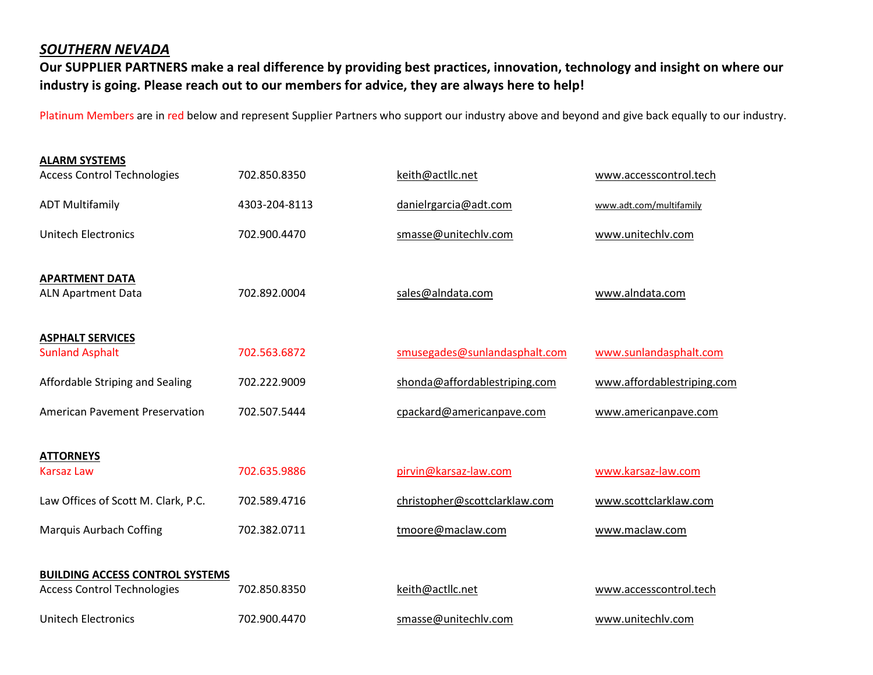## *SOUTHERN NEVADA*

**Our SUPPLIER PARTNERS make a real difference by providing best practices, innovation, technology and insight on where our industry is going. Please reach out to our members for advice, they are always here to help!** 

Platinum Members are in red below and represent Supplier Partners who support our industry above and beyond and give back equally to our industry.

| <b>ALARM SYSTEMS</b>                               |               |                               |                            |
|----------------------------------------------------|---------------|-------------------------------|----------------------------|
| <b>Access Control Technologies</b>                 | 702.850.8350  | keith@actllc.net              | www.accesscontrol.tech     |
| <b>ADT Multifamily</b>                             | 4303-204-8113 | danielrgarcia@adt.com         | www.adt.com/multifamily    |
| <b>Unitech Electronics</b>                         | 702.900.4470  | smasse@unitechlv.com          | www.unitechlv.com          |
| <b>APARTMENT DATA</b><br><b>ALN Apartment Data</b> | 702.892.0004  | sales@alndata.com             | www.alndata.com            |
| <b>ASPHALT SERVICES</b><br><b>Sunland Asphalt</b>  | 702.563.6872  | smusegades@sunlandasphalt.com | www.sunlandasphalt.com     |
| Affordable Striping and Sealing                    | 702.222.9009  | shonda@affordablestriping.com | www.affordablestriping.com |
| <b>American Pavement Preservation</b>              | 702.507.5444  | cpackard@americanpave.com     | www.americanpave.com       |
| <b>ATTORNEYS</b>                                   |               |                               |                            |
| <b>Karsaz Law</b>                                  | 702.635.9886  | pirvin@karsaz-law.com         | www.karsaz-law.com         |
| Law Offices of Scott M. Clark, P.C.                | 702.589.4716  | christopher@scottclarklaw.com | www.scottclarklaw.com      |
| <b>Marquis Aurbach Coffing</b>                     | 702.382.0711  | tmoore@maclaw.com             | www.maclaw.com             |
| <b>BUILDING ACCESS CONTROL SYSTEMS</b>             |               |                               |                            |
| <b>Access Control Technologies</b>                 | 702.850.8350  | keith@actllc.net              | www.accesscontrol.tech     |
| <b>Unitech Electronics</b>                         | 702.900.4470  | smasse@unitechlv.com          | www.unitechlv.com          |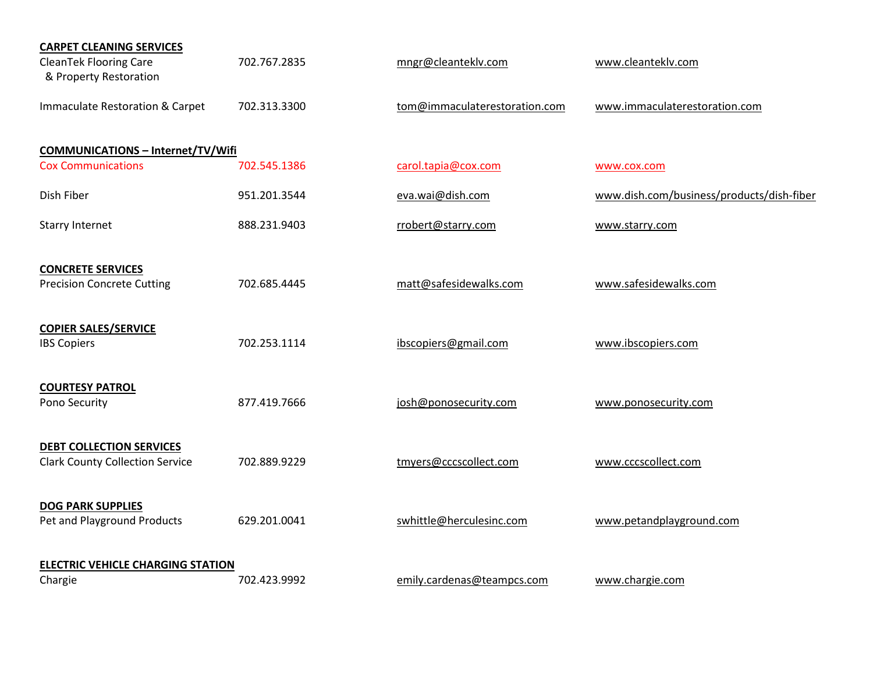| <b>CARPET CLEANING SERVICES</b>                         |              |                               |                                           |
|---------------------------------------------------------|--------------|-------------------------------|-------------------------------------------|
| <b>CleanTek Flooring Care</b><br>& Property Restoration | 702.767.2835 | mngr@cleanteklv.com           | www.cleanteklv.com                        |
| Immaculate Restoration & Carpet                         | 702.313.3300 | tom@immaculaterestoration.com | www.immaculaterestoration.com             |
| <b>COMMUNICATIONS - Internet/TV/Wifi</b>                |              |                               |                                           |
| <b>Cox Communications</b>                               | 702.545.1386 | carol.tapia@cox.com           | www.cox.com                               |
| Dish Fiber                                              | 951.201.3544 | eva.wai@dish.com              | www.dish.com/business/products/dish-fiber |
| <b>Starry Internet</b>                                  | 888.231.9403 | rrobert@starry.com            | www.starry.com                            |
| <b>CONCRETE SERVICES</b>                                |              |                               |                                           |
| <b>Precision Concrete Cutting</b>                       | 702.685.4445 | matt@safesidewalks.com        | www.safesidewalks.com                     |
| <b>COPIER SALES/SERVICE</b>                             | 702.253.1114 | ibscopiers@gmail.com          |                                           |
| <b>IBS Copiers</b>                                      |              |                               | www.ibscopiers.com                        |
| <b>COURTESY PATROL</b>                                  |              |                               |                                           |
| Pono Security                                           | 877.419.7666 | josh@ponosecurity.com         | www.ponosecurity.com                      |
| <b>DEBT COLLECTION SERVICES</b>                         |              |                               |                                           |
| <b>Clark County Collection Service</b>                  | 702.889.9229 | tmyers@cccscollect.com        | www.cccscollect.com                       |
| <b>DOG PARK SUPPLIES</b>                                |              |                               |                                           |
| Pet and Playground Products                             | 629.201.0041 | swhittle@herculesinc.com      | www.petandplayground.com                  |
| <b>ELECTRIC VEHICLE CHARGING STATION</b>                |              |                               |                                           |
| Chargie                                                 | 702.423.9992 | emily.cardenas@teampcs.com    | www.chargie.com                           |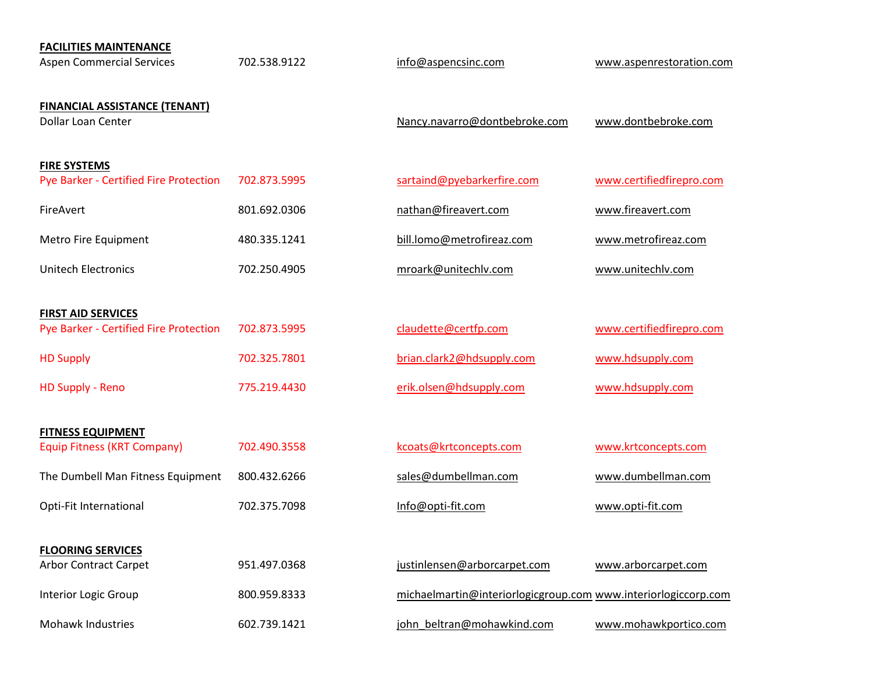| <b>FACILITIES MAINTENANCE</b><br><b>Aspen Commercial Services</b>          | 702.538.9122 | info@aspencsinc.com                                            | www.aspenrestoration.com |
|----------------------------------------------------------------------------|--------------|----------------------------------------------------------------|--------------------------|
| <b>FINANCIAL ASSISTANCE (TENANT)</b><br><b>Dollar Loan Center</b>          |              | Nancy.navarro@dontbebroke.com                                  | www.dontbebroke.com      |
| <b>FIRE SYSTEMS</b><br>Pye Barker - Certified Fire Protection              | 702.873.5995 | sartaind@pyebarkerfire.com                                     | www.certifiedfirepro.com |
| FireAvert                                                                  | 801.692.0306 | nathan@fireavert.com                                           | www.fireavert.com        |
| Metro Fire Equipment                                                       | 480.335.1241 | bill.lomo@metrofireaz.com                                      | www.metrofireaz.com      |
| <b>Unitech Electronics</b>                                                 | 702.250.4905 | mroark@unitechlv.com                                           | www.unitechlv.com        |
|                                                                            |              |                                                                |                          |
| <b>FIRST AID SERVICES</b><br><b>Pye Barker - Certified Fire Protection</b> | 702.873.5995 | claudette@certfp.com                                           | www.certifiedfirepro.com |
| <b>HD Supply</b>                                                           | 702.325.7801 | brian.clark2@hdsupply.com                                      | www.hdsupply.com         |
| <b>HD Supply - Reno</b>                                                    | 775.219.4430 | erik.olsen@hdsupply.com                                        | www.hdsupply.com         |
|                                                                            |              |                                                                |                          |
| <b>FITNESS EQUIPMENT</b><br><b>Equip Fitness (KRT Company)</b>             | 702.490.3558 | kcoats@krtconcepts.com                                         | www.krtconcepts.com      |
| The Dumbell Man Fitness Equipment                                          | 800.432.6266 | sales@dumbellman.com                                           | www.dumbellman.com       |
| Opti-Fit International                                                     | 702.375.7098 | Info@opti-fit.com                                              | www.opti-fit.com         |
|                                                                            |              |                                                                |                          |
| <b>FLOORING SERVICES</b><br><b>Arbor Contract Carpet</b>                   | 951.497.0368 | justinlensen@arborcarpet.com                                   | www.arborcarpet.com      |
| Interior Logic Group                                                       | 800.959.8333 | michaelmartin@interiorlogicgroup.com www.interiorlogiccorp.com |                          |
| <b>Mohawk Industries</b>                                                   | 602.739.1421 | john beltran@mohawkind.com                                     | www.mohawkportico.com    |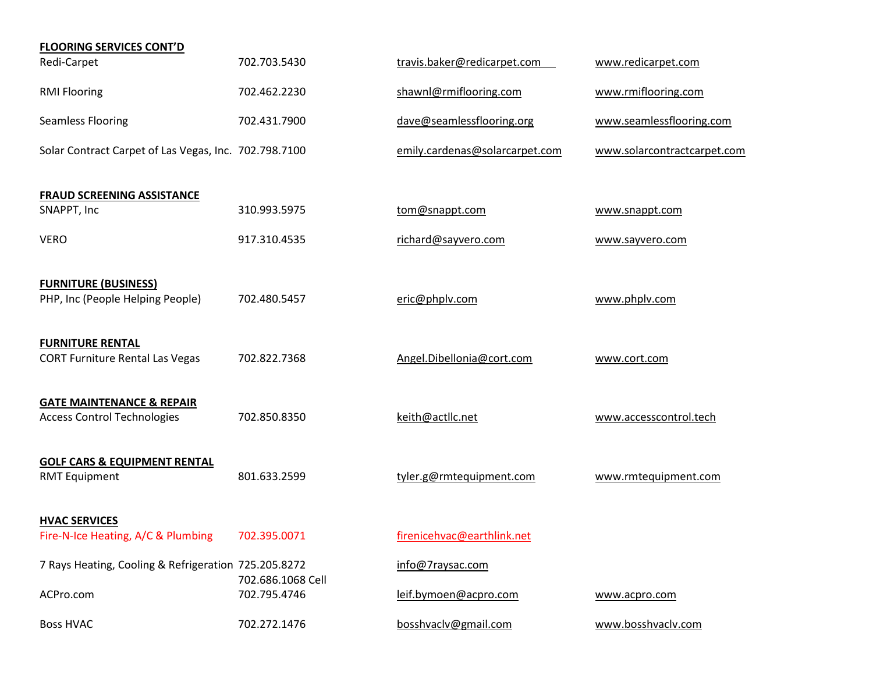| <b>FLOORING SERVICES CONT'D</b>                                            |                   |                                |                             |
|----------------------------------------------------------------------------|-------------------|--------------------------------|-----------------------------|
| Redi-Carpet                                                                | 702.703.5430      | travis.baker@redicarpet.com    | www.redicarpet.com          |
| <b>RMI Flooring</b>                                                        | 702.462.2230      | shawnl@rmiflooring.com         | www.rmiflooring.com         |
| <b>Seamless Flooring</b>                                                   | 702.431.7900      | dave@seamlessflooring.org      | www.seamlessflooring.com    |
| Solar Contract Carpet of Las Vegas, Inc. 702.798.7100                      |                   | emily.cardenas@solarcarpet.com | www.solarcontractcarpet.com |
| <b>FRAUD SCREENING ASSISTANCE</b>                                          |                   |                                |                             |
| SNAPPT, Inc                                                                | 310.993.5975      | tom@snappt.com                 | www.snappt.com              |
| <b>VERO</b>                                                                | 917.310.4535      | richard@sayvero.com            | www.sayvero.com             |
| <b>FURNITURE (BUSINESS)</b><br>PHP, Inc (People Helping People)            | 702.480.5457      | eric@phplv.com                 | www.phplv.com               |
| <b>FURNITURE RENTAL</b><br><b>CORT Furniture Rental Las Vegas</b>          | 702.822.7368      | Angel.Dibellonia@cort.com      | www.cort.com                |
| <b>GATE MAINTENANCE &amp; REPAIR</b><br><b>Access Control Technologies</b> | 702.850.8350      | keith@actllc.net               | www.accesscontrol.tech      |
| <b>GOLF CARS &amp; EQUIPMENT RENTAL</b><br><b>RMT Equipment</b>            | 801.633.2599      | tyler.g@rmtequipment.com       | www.rmtequipment.com        |
| <b>HVAC SERVICES</b>                                                       |                   |                                |                             |
| Fire-N-Ice Heating, A/C & Plumbing                                         | 702.395.0071      | firenicehvac@earthlink.net     |                             |
| 7 Rays Heating, Cooling & Refrigeration 725.205.8272                       | 702.686.1068 Cell | info@7raysac.com               |                             |
| ACPro.com                                                                  | 702.795.4746      | leif.bymoen@acpro.com          | www.acpro.com               |
| <b>Boss HVAC</b>                                                           | 702.272.1476      | bosshvaclv@gmail.com           | www.bosshvaclv.com          |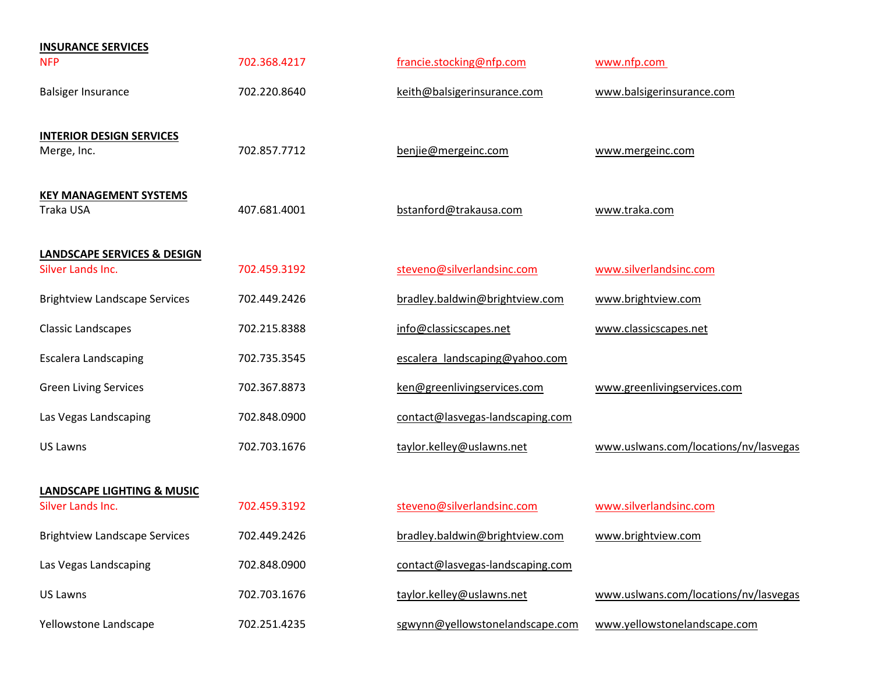| <b>INSURANCE SERVICES</b>                                   |              |                                  |                                       |
|-------------------------------------------------------------|--------------|----------------------------------|---------------------------------------|
| <b>NFP</b>                                                  | 702.368.4217 | francie.stocking@nfp.com         | www.nfp.com                           |
| <b>Balsiger Insurance</b>                                   | 702.220.8640 | keith@balsigerinsurance.com      | www.balsigerinsurance.com             |
| <b>INTERIOR DESIGN SERVICES</b><br>Merge, Inc.              | 702.857.7712 | benjie@mergeinc.com              | www.mergeinc.com                      |
| <b>KEY MANAGEMENT SYSTEMS</b><br>Traka USA                  | 407.681.4001 | bstanford@trakausa.com           | www.traka.com                         |
| <b>LANDSCAPE SERVICES &amp; DESIGN</b><br>Silver Lands Inc. | 702.459.3192 | steveno@silverlandsinc.com       | www.silverlandsinc.com                |
| <b>Brightview Landscape Services</b>                        | 702.449.2426 | bradley.baldwin@brightview.com   | www.brightview.com                    |
| <b>Classic Landscapes</b>                                   | 702.215.8388 | info@classicscapes.net           | www.classicscapes.net                 |
| <b>Escalera Landscaping</b>                                 | 702.735.3545 | escalera landscaping@yahoo.com   |                                       |
| <b>Green Living Services</b>                                | 702.367.8873 | ken@greenlivingservices.com      | www.greenlivingservices.com           |
| Las Vegas Landscaping                                       | 702.848.0900 | contact@lasvegas-landscaping.com |                                       |
| <b>US Lawns</b>                                             | 702.703.1676 | taylor.kelley@uslawns.net        | www.uslwans.com/locations/nv/lasvegas |
| <b>LANDSCAPE LIGHTING &amp; MUSIC</b>                       |              |                                  |                                       |
| Silver Lands Inc.                                           | 702.459.3192 | steveno@silverlandsinc.com       | www.silverlandsinc.com                |
| <b>Brightview Landscape Services</b>                        | 702.449.2426 | bradley.baldwin@brightview.com   | www.brightview.com                    |
| Las Vegas Landscaping                                       | 702.848.0900 | contact@lasvegas-landscaping.com |                                       |
| <b>US Lawns</b>                                             | 702.703.1676 | taylor.kelley@uslawns.net        | www.uslwans.com/locations/nv/lasvegas |
| Yellowstone Landscape                                       | 702.251.4235 | sgwynn@yellowstonelandscape.com  | www.yellowstonelandscape.com          |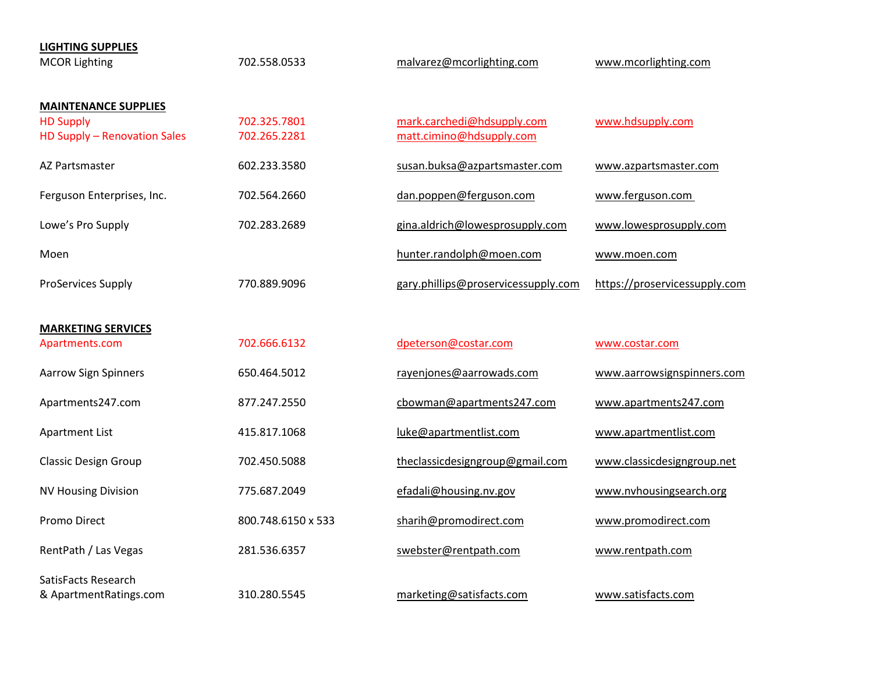| <b>LIGHTING SUPPLIES</b><br><b>MCOR Lighting</b>                                | 702.558.0533                 | malvarez@mcorlighting.com                              | www.mcorlighting.com          |
|---------------------------------------------------------------------------------|------------------------------|--------------------------------------------------------|-------------------------------|
| <b>MAINTENANCE SUPPLIES</b><br><b>HD Supply</b><br>HD Supply - Renovation Sales | 702.325.7801<br>702.265.2281 | mark.carchedi@hdsupply.com<br>matt.cimino@hdsupply.com | www.hdsupply.com              |
| AZ Partsmaster                                                                  | 602.233.3580                 | susan.buksa@azpartsmaster.com                          | www.azpartsmaster.com         |
| Ferguson Enterprises, Inc.                                                      | 702.564.2660                 | dan.poppen@ferguson.com                                | www.ferguson.com              |
| Lowe's Pro Supply                                                               | 702.283.2689                 | gina.aldrich@lowesprosupply.com                        | www.lowesprosupply.com        |
| Moen                                                                            |                              | hunter.randolph@moen.com                               | www.moen.com                  |
| ProServices Supply                                                              | 770.889.9096                 | gary.phillips@proservicessupply.com                    | https://proservicessupply.com |
| <b>MARKETING SERVICES</b><br>Apartments.com                                     | 702.666.6132                 | dpeterson@costar.com                                   | www.costar.com                |
| <b>Aarrow Sign Spinners</b>                                                     | 650.464.5012                 | rayenjones@aarrowads.com                               | www.aarrowsignspinners.com    |
| Apartments247.com                                                               | 877.247.2550                 | cbowman@apartments247.com                              | www.apartments247.com         |
| <b>Apartment List</b>                                                           | 415.817.1068                 | luke@apartmentlist.com                                 | www.apartmentlist.com         |
| <b>Classic Design Group</b>                                                     | 702.450.5088                 | theclassicdesigngroup@gmail.com                        | www.classicdesigngroup.net    |
| <b>NV Housing Division</b>                                                      | 775.687.2049                 | efadali@housing.nv.gov                                 | www.nvhousingsearch.org       |
| <b>Promo Direct</b>                                                             | 800.748.6150 x 533           | sharih@promodirect.com                                 | www.promodirect.com           |
| RentPath / Las Vegas                                                            | 281.536.6357                 | swebster@rentpath.com                                  | www.rentpath.com              |
|                                                                                 |                              |                                                        |                               |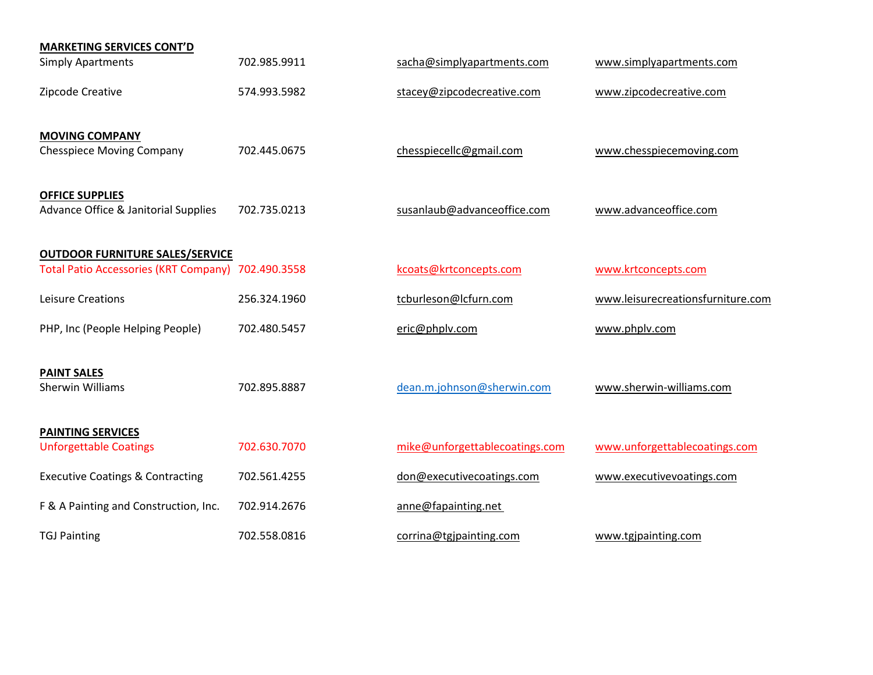| <b>MARKETING SERVICES CONT'D</b>                               |              |                                |                                   |
|----------------------------------------------------------------|--------------|--------------------------------|-----------------------------------|
| <b>Simply Apartments</b>                                       | 702.985.9911 | sacha@simplyapartments.com     | www.simplyapartments.com          |
| Zipcode Creative                                               | 574.993.5982 | stacey@zipcodecreative.com     | www.zipcodecreative.com           |
| <b>MOVING COMPANY</b><br><b>Chesspiece Moving Company</b>      | 702.445.0675 | chesspiecellc@gmail.com        | www.chesspiecemoving.com          |
| <b>OFFICE SUPPLIES</b><br>Advance Office & Janitorial Supplies | 702.735.0213 | susanlaub@advanceoffice.com    | www.advanceoffice.com             |
| <b>OUTDOOR FURNITURE SALES/SERVICE</b>                         |              |                                |                                   |
| Total Patio Accessories (KRT Company) 702.490.3558             |              | kcoats@krtconcepts.com         | www.krtconcepts.com               |
| Leisure Creations                                              | 256.324.1960 | tcburleson@lcfurn.com          | www.leisurecreationsfurniture.com |
| PHP, Inc (People Helping People)                               | 702.480.5457 | eric@phplv.com                 | www.phplv.com                     |
| <b>PAINT SALES</b><br><b>Sherwin Williams</b>                  | 702.895.8887 | dean.m.johnson@sherwin.com     | www.sherwin-williams.com          |
| <b>PAINTING SERVICES</b><br><b>Unforgettable Coatings</b>      | 702.630.7070 | mike@unforgettablecoatings.com | www.unforgettablecoatings.com     |
| <b>Executive Coatings &amp; Contracting</b>                    | 702.561.4255 | don@executivecoatings.com      | www.executivevoatings.com         |
| F & A Painting and Construction, Inc.                          | 702.914.2676 | anne@fapainting.net            |                                   |
| <b>TGJ Painting</b>                                            | 702.558.0816 | corrina@tgjpainting.com        | www.tgjpainting.com               |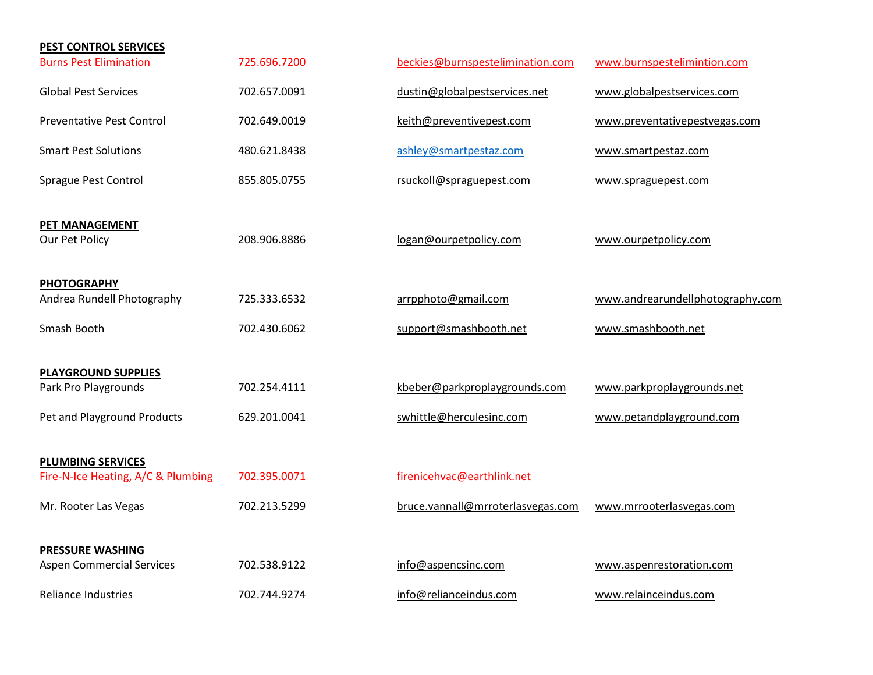| PEST CONTROL SERVICES                            |              |                                   |                                  |
|--------------------------------------------------|--------------|-----------------------------------|----------------------------------|
| <b>Burns Pest Elimination</b>                    | 725.696.7200 | beckies@burnspestelimination.com  | www.burnspestelimintion.com      |
| <b>Global Pest Services</b>                      | 702.657.0091 | dustin@globalpestservices.net     | www.globalpestservices.com       |
| <b>Preventative Pest Control</b>                 | 702.649.0019 | keith@preventivepest.com          | www.preventativepestvegas.com    |
| <b>Smart Pest Solutions</b>                      | 480.621.8438 | ashley@smartpestaz.com            | www.smartpestaz.com              |
| Sprague Pest Control                             | 855.805.0755 | rsuckoll@spraguepest.com          | www.spraguepest.com              |
| PET MANAGEMENT<br>Our Pet Policy                 | 208.906.8886 | logan@ourpetpolicy.com            | www.ourpetpolicy.com             |
| <b>PHOTOGRAPHY</b><br>Andrea Rundell Photography | 725.333.6532 | arrpphoto@gmail.com               | www.andrearundellphotography.com |
| Smash Booth                                      | 702.430.6062 | support@smashbooth.net            | www.smashbooth.net               |
| <b>PLAYGROUND SUPPLIES</b>                       |              |                                   |                                  |
| Park Pro Playgrounds                             | 702.254.4111 | kbeber@parkproplaygrounds.com     | www.parkproplaygrounds.net       |
| Pet and Playground Products                      | 629.201.0041 | swhittle@herculesinc.com          | www.petandplayground.com         |
| <b>PLUMBING SERVICES</b>                         |              |                                   |                                  |
| Fire-N-Ice Heating, A/C & Plumbing               | 702.395.0071 | firenicehvac@earthlink.net        |                                  |
| Mr. Rooter Las Vegas                             | 702.213.5299 | bruce.vannall@mrroterlasvegas.com | www.mrrooterlasvegas.com         |
| <b>PRESSURE WASHING</b>                          |              |                                   |                                  |
| <b>Aspen Commercial Services</b>                 | 702.538.9122 | info@aspencsinc.com               | www.aspenrestoration.com         |
| <b>Reliance Industries</b>                       | 702.744.9274 | info@relianceindus.com            | www.relainceindus.com            |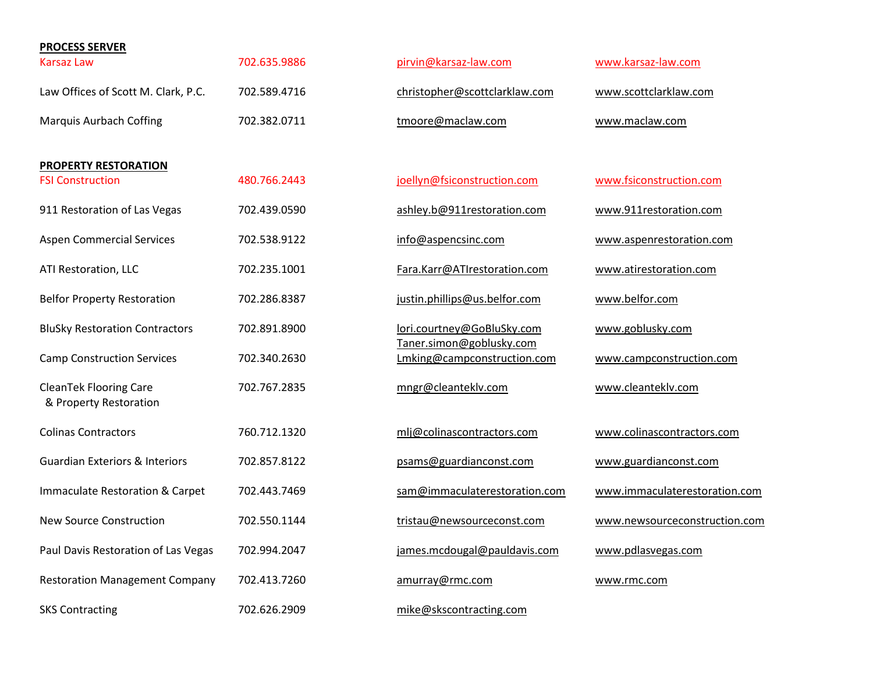| <b>PROCESS SERVER</b>                                   |              |                                                        |                               |
|---------------------------------------------------------|--------------|--------------------------------------------------------|-------------------------------|
| Karsaz Law                                              | 702.635.9886 | pirvin@karsaz-law.com                                  | www.karsaz-law.com            |
| Law Offices of Scott M. Clark, P.C.                     | 702.589.4716 | christopher@scottclarklaw.com                          | www.scottclarklaw.com         |
| <b>Marquis Aurbach Coffing</b>                          | 702.382.0711 | tmoore@maclaw.com                                      | www.maclaw.com                |
|                                                         |              |                                                        |                               |
| PROPERTY RESTORATION<br><b>FSI Construction</b>         | 480.766.2443 | joellyn@fsiconstruction.com                            | www.fsiconstruction.com       |
| 911 Restoration of Las Vegas                            | 702.439.0590 | ashley.b@911restoration.com                            | www.911restoration.com        |
| <b>Aspen Commercial Services</b>                        | 702.538.9122 | info@aspencsinc.com                                    | www.aspenrestoration.com      |
| ATI Restoration, LLC                                    | 702.235.1001 | Fara.Karr@ATIrestoration.com                           | www.atirestoration.com        |
| <b>Belfor Property Restoration</b>                      | 702.286.8387 | justin.phillips@us.belfor.com                          | www.belfor.com                |
| <b>BluSky Restoration Contractors</b>                   | 702.891.8900 | lori.courtney@GoBluSky.com<br>Taner.simon@goblusky.com | www.goblusky.com              |
| <b>Camp Construction Services</b>                       | 702.340.2630 | Lmking@campconstruction.com                            | www.campconstruction.com      |
| <b>CleanTek Flooring Care</b><br>& Property Restoration | 702.767.2835 | mngr@cleanteklv.com                                    | www.cleanteklv.com            |
| <b>Colinas Contractors</b>                              | 760.712.1320 | mlj@colinascontractors.com                             | www.colinascontractors.com    |
| <b>Guardian Exteriors &amp; Interiors</b>               | 702.857.8122 | psams@guardianconst.com                                | www.guardianconst.com         |
| Immaculate Restoration & Carpet                         | 702.443.7469 | sam@immaculaterestoration.com                          | www.immaculaterestoration.com |
| <b>New Source Construction</b>                          | 702.550.1144 | tristau@newsourceconst.com                             | www.newsourceconstruction.com |
| Paul Davis Restoration of Las Vegas                     | 702.994.2047 | james.mcdougal@pauldavis.com                           | www.pdlasvegas.com            |
| <b>Restoration Management Company</b>                   | 702.413.7260 | amurray@rmc.com                                        | www.rmc.com                   |
| <b>SKS Contracting</b>                                  | 702.626.2909 | mike@skscontracting.com                                |                               |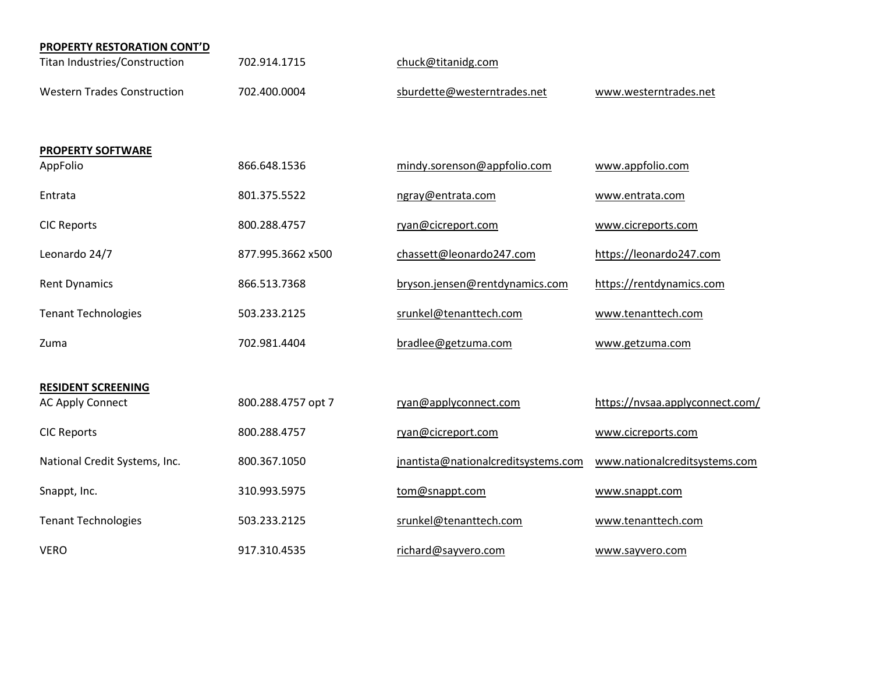| <b>PROPERTY RESTORATION CONT'D</b> |                    |                                     |                                 |
|------------------------------------|--------------------|-------------------------------------|---------------------------------|
| Titan Industries/Construction      | 702.914.1715       | chuck@titanidg.com                  |                                 |
| <b>Western Trades Construction</b> | 702.400.0004       | sburdette@westerntrades.net         | www.westerntrades.net           |
| <b>PROPERTY SOFTWARE</b>           |                    |                                     |                                 |
| AppFolio                           | 866.648.1536       | mindy.sorenson@appfolio.com         | www.appfolio.com                |
| Entrata                            | 801.375.5522       | ngray@entrata.com                   | www.entrata.com                 |
| <b>CIC Reports</b>                 | 800.288.4757       | ryan@cicreport.com                  | www.cicreports.com              |
| Leonardo 24/7                      | 877.995.3662 x500  | chassett@leonardo247.com            | https://leonardo247.com         |
| <b>Rent Dynamics</b>               | 866.513.7368       | bryson.jensen@rentdynamics.com      | https://rentdynamics.com        |
| <b>Tenant Technologies</b>         | 503.233.2125       | srunkel@tenanttech.com              | www.tenanttech.com              |
| Zuma                               | 702.981.4404       | bradlee@getzuma.com                 | www.getzuma.com                 |
| <b>RESIDENT SCREENING</b>          |                    |                                     |                                 |
| <b>AC Apply Connect</b>            | 800.288.4757 opt 7 | ryan@applyconnect.com               | https://nvsaa.applyconnect.com/ |
| <b>CIC Reports</b>                 | 800.288.4757       | ryan@cicreport.com                  | www.cicreports.com              |
| National Credit Systems, Inc.      | 800.367.1050       | jnantista@nationalcreditsystems.com | www.nationalcreditsystems.com   |
| Snappt, Inc.                       | 310.993.5975       | tom@snappt.com                      | www.snappt.com                  |
| <b>Tenant Technologies</b>         | 503.233.2125       | srunkel@tenanttech.com              | www.tenanttech.com              |
| <b>VERO</b>                        | 917.310.4535       | richard@sayvero.com                 | www.sayvero.com                 |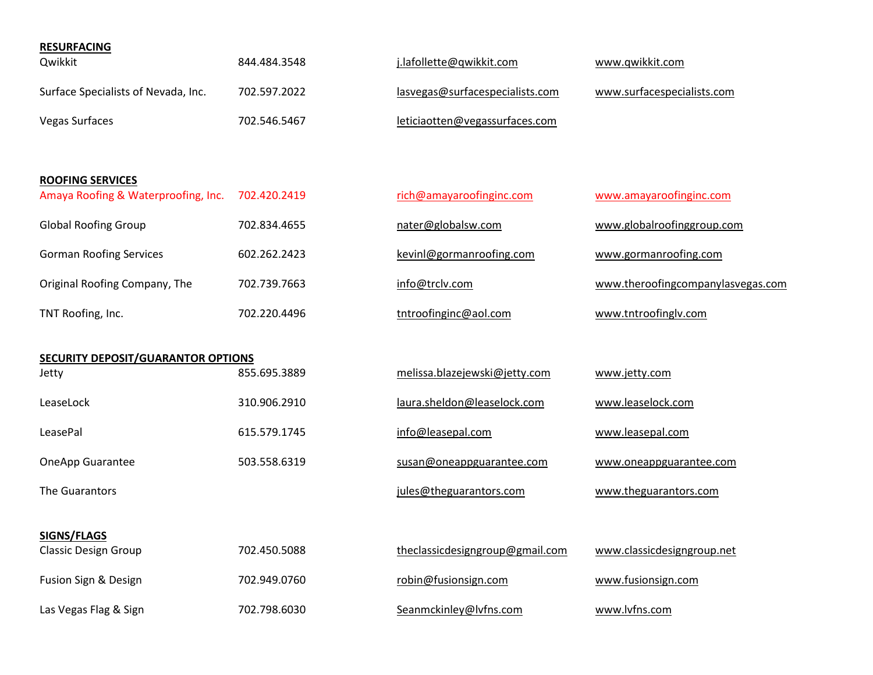| <b>RESURFACING</b>                  |              |                                 |                            |
|-------------------------------------|--------------|---------------------------------|----------------------------|
| Qwikkit                             | 844.484.3548 | j.lafollette@qwikkit.com        | www.gwikkit.com            |
| Surface Specialists of Nevada, Inc. | 702.597.2022 | lasvegas@surfacespecialists.com | www.surfacespecialists.com |
| <b>Vegas Surfaces</b>               | 702.546.5467 | leticiaotten@vegassurfaces.com  |                            |

| <b>ROOFING SERVICES</b><br>Amaya Roofing & Waterproofing, Inc. | 702.420.2419 |
|----------------------------------------------------------------|--------------|
| <b>Global Roofing Group</b>                                    | 702.834.4655 |
| <b>Gorman Roofing Services</b>                                 | 602.262.2423 |
| Original Roofing Company, The                                  | 702.739.7663 |
| TNT Roofing, Inc.                                              | 702.220.4496 |

| <b>SECURITY DEPOSIT/GUARANTOR OPTIONS</b> |              |                               |                         |
|-------------------------------------------|--------------|-------------------------------|-------------------------|
| Jetty                                     | 855.695.3889 | melissa.blazejewski@jetty.com | www.jetty.com           |
| LeaseLock                                 | 310.906.2910 | laura.sheldon@leaselock.com   | www.leaselock.com       |
| LeasePal                                  | 615.579.1745 | info@leasepal.com             | www.leasepal.com        |
| <b>OneApp Guarantee</b>                   | 503.558.6319 | susan@oneappguarantee.com     | www.oneappguarantee.com |

| SIGNS/FLAGS                 |              |                                 |                            |
|-----------------------------|--------------|---------------------------------|----------------------------|
| <b>Classic Design Group</b> | 702.450.5088 | theclassicdesigngroup@gmail.com | www.classicdesigngroup.net |
| Fusion Sign & Design        | 702.949.0760 | robin@fusionsign.com            | www.fusionsign.com         |

Las Vegas Flag & Sign **702.798.6030** [Seanmckinley@lvfns.com](mailto:Seanmckinley@lvfns.com) [www.lvfns.com](http://www.lvfns.com/)

[rich@amayaroofinginc.com](mailto:rich@amayaroofinginc.com) [www.amayaroofinginc.com](http://www.amayaroofinginc.com/) [kevinl@gormanroofing.com](mailto:kevinl@gormanroofing.com) www.gormanroofing.com

[tntroofinginc@aol.com](mailto:tntroofinginc@aol.com) www.tntroofinglv.com

[nater@globalsw.com](mailto:nater@globalsw.com) www.globalroofinggroup.com

[info@trclv.com](mailto:info@trclv.com) [www.theroofingcompanylasvegas.com](http://www.theroofingcompanylasvegas.com/)

| :9 | melissa.blazejewski@jetty.com | www.jetty.com     |
|----|-------------------------------|-------------------|
| .0 | laura.sheldon@leaselock.com   | www.leaselock.com |
|    |                               |                   |

The Guarantors **intervals and the Guarantors** in the Guarantors of the Guarantors.com www.theguarantors.com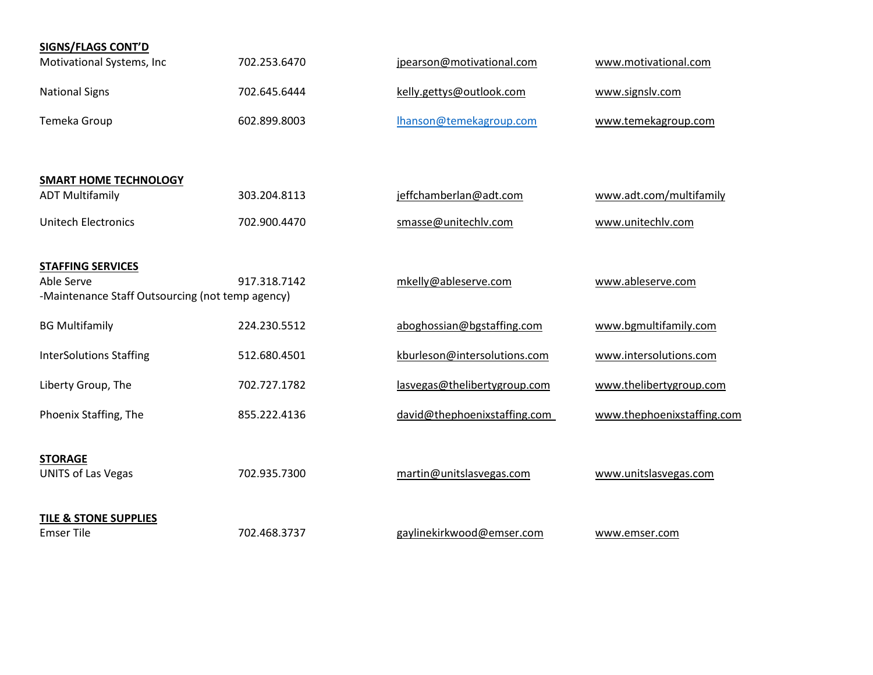| <b>SIGNS/FLAGS CONT'D</b>                                      |              |                              |                            |
|----------------------------------------------------------------|--------------|------------------------------|----------------------------|
| Motivational Systems, Inc                                      | 702.253.6470 | jpearson@motivational.com    | www.motivational.com       |
| <b>National Signs</b>                                          | 702.645.6444 | kelly.gettys@outlook.com     | www.signslv.com            |
| Temeka Group                                                   | 602.899.8003 | lhanson@temekagroup.com      | www.temekagroup.com        |
| <b>SMART HOME TECHNOLOGY</b>                                   |              |                              |                            |
| <b>ADT Multifamily</b>                                         | 303.204.8113 | jeffchamberlan@adt.com       | www.adt.com/multifamily    |
| <b>Unitech Electronics</b>                                     | 702.900.4470 | smasse@unitechlv.com         | www.unitechlv.com          |
| <b>STAFFING SERVICES</b>                                       |              |                              |                            |
| Able Serve<br>-Maintenance Staff Outsourcing (not temp agency) | 917.318.7142 | mkelly@ableserve.com         | www.ableserve.com          |
| <b>BG Multifamily</b>                                          | 224.230.5512 | aboghossian@bgstaffing.com   | www.bgmultifamily.com      |
| <b>InterSolutions Staffing</b>                                 | 512.680.4501 | kburleson@intersolutions.com | www.intersolutions.com     |
| Liberty Group, The                                             | 702.727.1782 | lasvegas@thelibertygroup.com | www.thelibertygroup.com    |
| Phoenix Staffing, The                                          | 855.222.4136 | david@thephoenixstaffing.com | www.thephoenixstaffing.com |
| <b>STORAGE</b>                                                 |              |                              |                            |
| <b>UNITS of Las Vegas</b>                                      | 702.935.7300 | martin@unitslasvegas.com     | www.unitslasvegas.com      |
| <b>TILE &amp; STONE SUPPLIES</b>                               |              |                              |                            |
| <b>Emser Tile</b>                                              | 702.468.3737 | gaylinekirkwood@emser.com    | www.emser.com              |